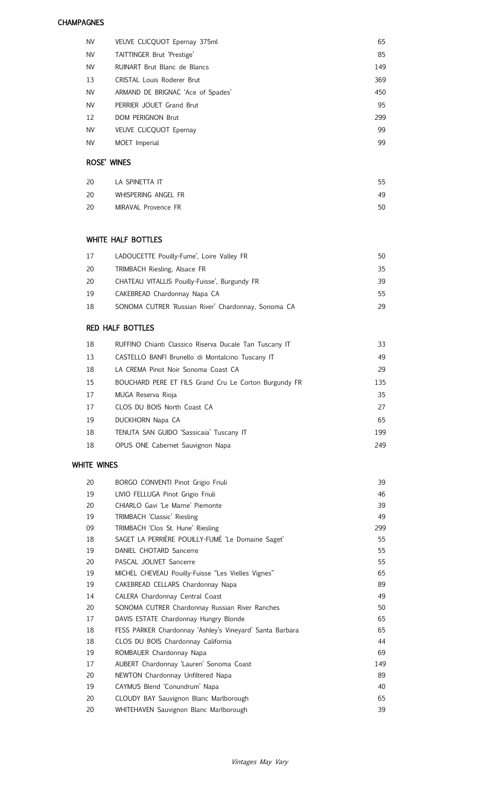#### **CHAMPAGNES**

| <b>NV</b> | VEUVE CLICQUOT Epernay 375ml      | 65  |
|-----------|-----------------------------------|-----|
| <b>NV</b> | TAITTINGER Brut 'Prestige'        | 85  |
| <b>NV</b> | RUINART Brut Blanc de Blancs      | 149 |
| 13        | CRISTAL Louis Roderer Brut        | 369 |
| <b>NV</b> | ARMAND DE BRIGNAC 'Ace of Spades' | 450 |
| <b>NV</b> | PERRIER JOUET Grand Brut          | 95  |
| 12        | <b>DOM PERIGNON Brut</b>          | 299 |
| <b>NV</b> | <b>VEUVE CLICOUOT Epernay</b>     | 99  |
| <b>NV</b> | MOET Imperial                     | 99  |
|           |                                   |     |

# ROSE' WINES

| 20 | LA SPINETTA IT      | 55 |
|----|---------------------|----|
| 20 | WHISPERING ANGEL FR | 49 |
| 20 | MIRAVAL Provence FR | 50 |

## WHITE HALF BOTTLES

| 17 | LADOUCETTE Pouilly-Fume', Loire Valley FR           | 50 |
|----|-----------------------------------------------------|----|
| 20 | TRIMBACH Riesling, Alsace FR                        | 35 |
| 20 | CHATEAU VITALLIS Pouilly-Fuisse', Burgundy FR       | 39 |
| 19 | CAKEBREAD Chardonnay Napa CA                        | 55 |
| 18 | SONOMA CUTRER 'Russian River' Chardonnay, Sonoma CA | 29 |

# RED HALF BOTTLES

| 18 | RUFFINO Chianti Classico Riserva Ducale Tan Tuscany IT | 33  |
|----|--------------------------------------------------------|-----|
| 13 | CASTELLO BANFI Brunello di Montalcino Tuscany IT       | 49  |
| 18 | LA CREMA Pinot Noir Sonoma Coast CA                    | 29  |
| 15 | BOUCHARD PERE ET FILS Grand Cru Le Corton Burgundy FR  | 135 |
| 17 | MUGA Reserva Rioja                                     | 35  |
| 17 | CLOS DU BOIS North Coast CA                            | 27  |
| 19 | DUCKHORN Napa CA                                       | 65  |
| 18 | TENUTA SAN GUIDO 'Sassicaia' Tuscany IT                | 199 |
| 18 | OPUS ONE Cabernet Sauvignon Napa                       | 249 |
|    |                                                        |     |

# WHITE WINES

| 20 | BORGO CONVENTI Pinot Grigio Friuli                       | 39  |
|----|----------------------------------------------------------|-----|
| 19 | LIVIO FELLUGA Pinot Grigio Friuli                        | 46  |
| 20 | CHIARLO Gavi 'Le Marne' Piemonte                         | 39  |
| 19 | TRIMBACH 'Classic' Riesling                              | 49  |
| 09 | TRIMBACH 'Clos St. Hune' Riesling                        | 299 |
| 18 | SAGET LA PERRIÈRE POUILLY-FUMÉ 'Le Domaine Saget'        | 55  |
| 19 | DANIEL CHOTARD Sancerre                                  | 55  |
| 20 | PASCAL JOLIVET Sancerre                                  | 55  |
| 19 | MICHEL CHEVEAU Pouilly-Fuisse "Les Vielles Vignes"       | 65  |
| 19 | CAKEBREAD CELLARS Chardonnay Napa                        | 89  |
| 14 | CALERA Chardonnay Central Coast                          | 49  |
| 20 | SONOMA CUTRER Chardonnay Russian River Ranches           | 50  |
| 17 | DAVIS ESTATE Chardonnay Hungry Blonde                    | 65  |
| 18 | FESS PARKER Chardonnay 'Ashley's Vineyard' Santa Barbara | 65  |
| 18 | CLOS DU BOIS Chardonnay California                       | 44  |
| 19 | ROMBAUER Chardonnay Napa                                 | 69  |
| 17 | AUBERT Chardonnay 'Lauren' Sonoma Coast                  | 149 |
| 20 | NEWTON Chardonnay Unfiltered Napa                        | 89  |
| 19 | CAYMUS Blend 'Conundrum' Napa                            | 40  |
| 20 | CLOUDY BAY Sauvignon Blanc Marlborough                   | 65  |
| 20 | WHITEHAVEN Sauvignon Blanc Marlborough                   | 39  |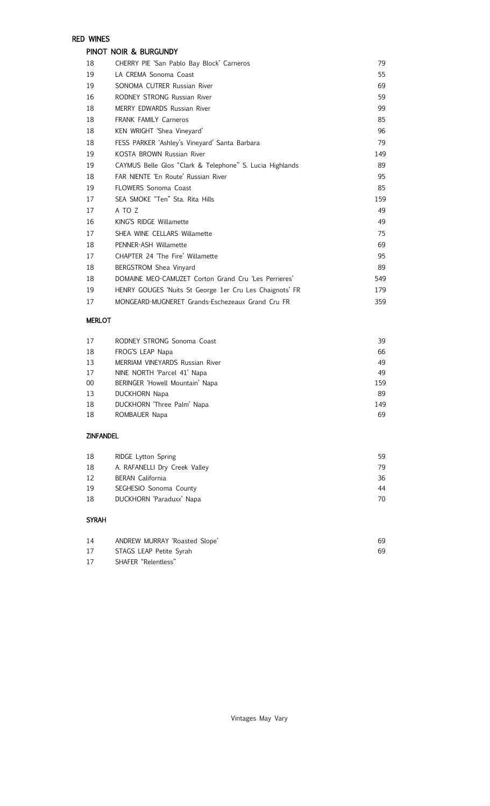# RED WINES

## PINOT NOIR & BURGUNDY

| 18 | CHERRY PIE 'San Pablo Bay Block' Carneros                | 79  |
|----|----------------------------------------------------------|-----|
| 19 | LA CREMA Sonoma Coast                                    | 55  |
| 19 | SONOMA CUTRER Russian River                              | 69  |
| 16 | RODNEY STRONG Russian River                              | 59  |
| 18 | <b>MERRY EDWARDS Russian River</b>                       | 99  |
| 18 | <b>FRANK FAMILY Carneros</b>                             | 85  |
| 18 | KEN WRIGHT 'Shea Vineyard'                               | 96  |
| 18 | FESS PARKER 'Ashley's Vineyard' Santa Barbara            | 79  |
| 19 | KOSTA BROWN Russian River                                | 149 |
| 19 | CAYMUS Belle Glos "Clark & Telephone" S. Lucia Highlands | 89  |
| 18 | FAR NIENTE 'En Route' Russian River                      | 95  |
| 19 | <b>FLOWERS Sonoma Coast</b>                              | 85  |
| 17 | SEA SMOKE "Ten" Sta. Rita Hills                          | 159 |
| 17 | A TO Z                                                   | 49  |
| 16 | KING'S RIDGE Willamette                                  | 49  |
| 17 | SHEA WINE CELLARS Willamette                             | 75  |
| 18 | PENNER-ASH Willamette                                    | 69  |
| 17 | CHAPTER 24 'The Fire' Willamette                         | 95  |
| 18 | <b>BERGSTROM Shea Vinyard</b>                            | 89  |
| 18 | DOMAINE MEO-CAMUZET Corton Grand Cru 'Les Perrieres'     | 549 |
| 19 | HENRY GOUGES 'Nuits St George 1er Cru Les Chaignots' FR  | 179 |
| 17 | MONGEARD-MUGNERET Grands-Eschezeaux Grand Cru FR         | 359 |

#### MERLOT

| 17     | RODNEY STRONG Sonoma Coast      | 39  |
|--------|---------------------------------|-----|
| 18     | FROG'S LEAP Napa                | 66  |
| 13     | MERRIAM VINEYARDS Russian River | 49  |
| 17     | NINE NORTH 'Parcel 41' Napa     | 49  |
| $00\,$ | BERINGER 'Howell Mountain' Napa | 159 |
| 13     | <b>DUCKHORN Napa</b>            | 89  |
| 18     | DUCKHORN 'Three Palm' Napa      | 149 |
| 18     | ROMBAUER Napa                   | 69  |
|        |                                 |     |

## ZINFANDEL

| 18 | <b>RIDGE Lytton Spring</b>    | 59 |
|----|-------------------------------|----|
| 18 | A. RAFANELLI Dry Creek Valley | 79 |
| 12 | <b>BERAN</b> California       | 36 |
| 19 | SEGHESIO Sonoma County        | 44 |
| 18 | DUCKHORN 'Paraduxx' Napa      | 70 |
|    |                               |    |

## SYRAH

| 14 | ANDREW MURRAY 'Roasted Slope' | 69 |
|----|-------------------------------|----|
| 17 | STAGS LEAP Petite Syrah       | 69 |
| 17 | SHAFER "Relentless"           |    |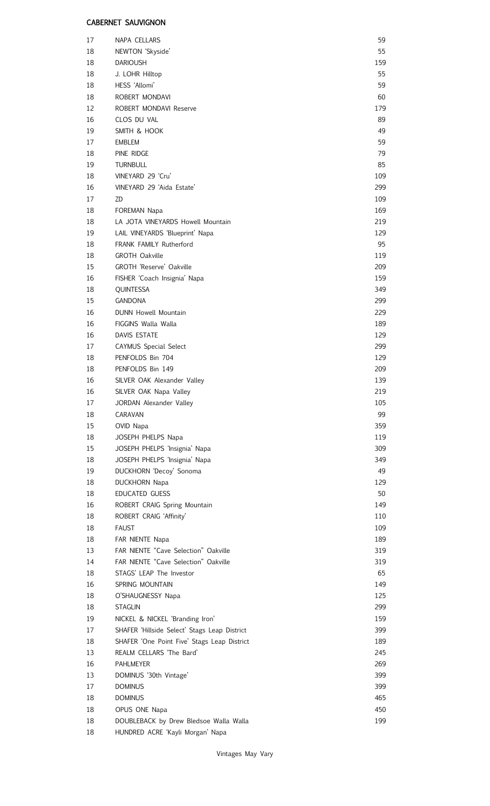## CABERNET SAUVIGNON

| 17 | NAPA CELLARS                                 | 59  |
|----|----------------------------------------------|-----|
| 18 | NEWTON 'Skyside'                             | 55  |
| 18 | <b>DARIOUSH</b>                              | 159 |
| 18 | J. LOHR Hilltop                              | 55  |
| 18 | HESS 'Allomi'                                | 59  |
| 18 | ROBERT MONDAVI                               | 60  |
| 12 | ROBERT MONDAVI Reserve                       | 179 |
| 16 | CLOS DU VAL                                  | 89  |
| 19 | SMITH & HOOK                                 | 49  |
| 17 | <b>EMBLEM</b>                                | 59  |
| 18 | PINE RIDGE                                   | 79  |
| 19 | <b>TURNBULL</b>                              | 85  |
| 18 | VINEYARD 29 'Cru'                            | 109 |
| 16 | VINEYARD 29 'Aida Estate'                    | 299 |
| 17 | ZD                                           | 109 |
| 18 | FOREMAN Napa                                 | 169 |
| 18 | LA JOTA VINEYARDS Howell Mountain            | 219 |
| 19 | LAIL VINEYARDS 'Blueprint' Napa              | 129 |
| 18 | <b>FRANK FAMILY Rutherford</b>               | 95  |
| 18 | <b>GROTH Oakville</b>                        | 119 |
| 15 | <b>GROTH 'Reserve' Oakville</b>              | 209 |
| 16 | FISHER 'Coach Insignia' Napa                 | 159 |
| 18 | QUINTESSA                                    | 349 |
| 15 | <b>GANDONA</b>                               | 299 |
| 16 | <b>DUNN Howell Mountain</b>                  | 229 |
| 16 | FIGGINS Walla Walla                          | 189 |
|    |                                              |     |
| 16 | <b>DAVIS ESTATE</b>                          | 129 |
| 17 | <b>CAYMUS Special Select</b>                 | 299 |
| 18 | PENFOLDS Bin 704                             | 129 |
| 18 | PENFOLDS Bin 149                             | 209 |
| 16 | SILVER OAK Alexander Valley                  | 139 |
| 16 | SILVER OAK Napa Valley                       | 219 |
| 17 | JORDAN Alexander Valley                      | 105 |
| 18 | CARAVAN                                      | 99  |
| 15 | OVID Napa                                    | 359 |
| 18 | JOSEPH PHELPS Napa                           | 119 |
| 15 | JOSEPH PHELPS 'Insignia' Napa                | 309 |
| 18 | JOSEPH PHELPS 'Insignia' Napa                | 349 |
| 19 | DUCKHORN 'Decoy' Sonoma                      | 49  |
| 18 | <b>DUCKHORN Napa</b>                         | 129 |
| 18 | EDUCATED GUESS                               | 50  |
| 16 | ROBERT CRAIG Spring Mountain                 | 149 |
| 18 | ROBERT CRAIG 'Affinity'                      | 110 |
| 18 | <b>FAUST</b>                                 | 109 |
| 18 | FAR NIENTE Napa                              | 189 |
| 13 | FAR NIENTE "Cave Selection" Oakville         | 319 |
| 14 | FAR NIENTE "Cave Selection" Oakville         | 319 |
| 18 | STAGS' LEAP The Investor                     | 65  |
| 16 | SPRING MOUNTAIN                              | 149 |
| 18 | O'SHAUGNESSY Napa                            | 125 |
| 18 | <b>STAGLIN</b>                               | 299 |
| 19 | NICKEL & NICKEL 'Branding Iron'              | 159 |
| 17 | SHAFER 'Hillside Select' Stags Leap District | 399 |
| 18 | SHAFER 'One Point Five' Stags Leap District  | 189 |
| 13 | REALM CELLARS 'The Bard'                     | 245 |
| 16 | <b>PAHLMEYER</b>                             | 269 |
|    |                                              | 399 |
| 13 | DOMINUS '30th Vintage'                       |     |
| 17 | <b>DOMINUS</b>                               | 399 |
| 18 | <b>DOMINUS</b>                               | 465 |
| 18 | OPUS ONE Napa                                | 450 |
| 18 | DOUBLEBACK by Drew Bledsoe Walla Walla       | 199 |
| 18 | HUNDRED ACRE 'Kayli Morgan' Napa             |     |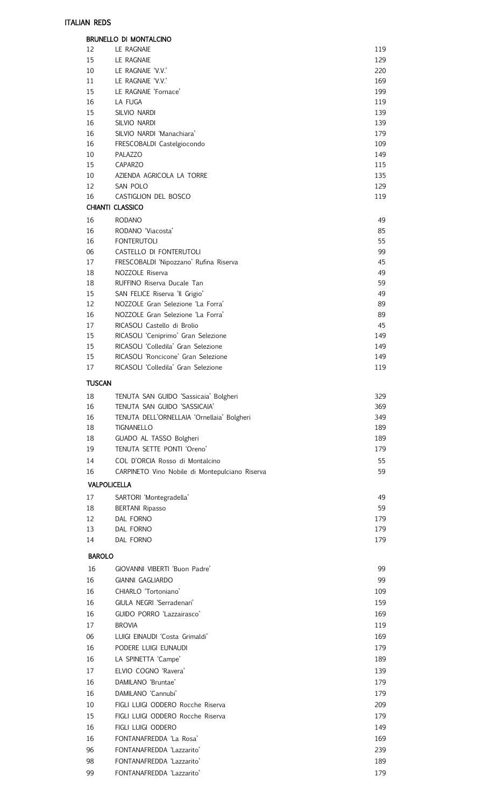|               | <b>BRUNELLO DI MONTALCINO</b>                                              |            |
|---------------|----------------------------------------------------------------------------|------------|
| 12            | LE RAGNAIE                                                                 | 119        |
| 15            | LE RAGNAIE                                                                 | 129        |
| 10<br>11      | LE RAGNAIE 'V.V.'<br>LE RAGNAIE 'V.V.'                                     | 220<br>169 |
| 15            | LE RAGNAIE 'Fornace'                                                       | 199        |
| 16            | LA FUGA                                                                    | 119        |
| 15            | SILVIO NARDI                                                               | 139        |
| 16            | SILVIO NARDI                                                               | 139        |
| 16            | SILVIO NARDI 'Manachiara'                                                  | 179        |
| 16            | FRESCOBALDI Castelgiocondo                                                 | 109        |
| 10            | PALAZZO                                                                    | 149        |
| 15<br>10      | CAPARZO<br>AZIENDA AGRICOLA LA TORRE                                       | 115<br>135 |
| 12            | SAN POLO                                                                   | 129        |
| 16            | CASTIGLION DEL BOSCO                                                       | 119        |
|               | CHIANTI CLASSICO                                                           |            |
| 16            | <b>RODANO</b>                                                              | 49         |
| 16            | RODANO 'Viacosta'                                                          | 85         |
| 16            | <b>FONTERUTOLI</b>                                                         | 55         |
| 06<br>17      | CASTELLO DI FONTERUTOLI<br>FRESCOBALDI 'Nipozzano' Rufina Riserva          | 99<br>45   |
| 18            | NOZZOLE Riserva                                                            | 49         |
| 18            | RUFFINO Riserva Ducale Tan                                                 | 59         |
| 15            | SAN FELICE Riserva 'Il Grigio'                                             | 49         |
| 12            | NOZZOLE Gran Selezione 'La Forra'                                          | 89         |
| 16            | NOZZOLE Gran Selezione 'La Forra'                                          | 89         |
| 17            | RICASOLI Castello di Brolio                                                | 45         |
| 15<br>15      | RICASOLI 'Ceniprimo' Gran Selezione<br>RICASOLI 'Colledila' Gran Selezione | 149<br>149 |
| 15            | RICASOLI 'Roncicone' Gran Selezione                                        | 149        |
| 17            | RICASOLI 'Colledila' Gran Selezione                                        | 119        |
| <b>TUSCAN</b> |                                                                            |            |
| 18            | TENUTA SAN GUIDO 'Sassicaia' Bolgheri                                      | 329        |
| 16            | TENUTA SAN GUIDO 'SASSICAIA'                                               | 369        |
| 16            | TENUTA DELL'ORNELLAIA 'Ornellaia' Bolgheri                                 | 349        |
| 18            | TIGNANELLO                                                                 | 189        |
| 18            | GUADO AL TASSO Bolgheri                                                    | 189        |
| 19            | TENUTA SETTE PONTI 'Oreno'                                                 | 179        |
| 14            | COL D'ORCIA Rosso di Montalcino                                            | 55         |
| 16            | CARPINETO Vino Nobile di Montepulciano Riserva                             | 59         |
|               | <b>VALPOLICELLA</b>                                                        |            |
| 17<br>18      | SARTORI 'Montegradella'<br><b>BERTANI Ripasso</b>                          | 49<br>59   |
| 12            | DAL FORNO                                                                  | 179        |
| 13            | DAL FORNO                                                                  | 179        |
| 14            | DAL FORNO                                                                  | 179        |
| <b>BAROLO</b> |                                                                            |            |
| 16            | GIOVANNI VIBERTI 'Buon Padre'                                              | 99         |
| 16            | <b>GIANNI GAGLIARDO</b>                                                    | 99         |
| 16            | CHIARLO 'Tortoniano'                                                       | 109        |
| 16            | GIULA NEGRI 'Serradenari'                                                  | 159        |
| 16            | GUIDO PORRO 'Lazzairasco'                                                  | 169        |
| 17            | <b>BROVIA</b>                                                              | 119        |
| 06            | LUIGI EINAUDI 'Costa Grimaldi'                                             | 169        |
| 16            | PODERE LUIGI EUNAUDI                                                       | 179        |
| 16            | LA SPINETTA 'Campe'                                                        | 189        |
| 17            | ELVIO COGNO 'Ravera'                                                       | 139        |
| 16            | DAMILANO 'Bruntae'                                                         | 179        |
| 16<br>10      | DAMILANO 'Cannubi'<br>FIGLI LUIGI ODDERO Rocche Riserva                    | 179<br>209 |
| 15            | FIGLI LUIGI ODDERO Rocche Riserva                                          | 179        |
| 16            | FIGLI LUIGI ODDERO                                                         | 149        |
| 16            | FONTANAFREDDA 'La Rosa'                                                    | 169        |
| 96            | FONTANAFREDDA 'Lazzarito'                                                  | 239        |
| 98            | FONTANAFREDDA 'Lazzarito'                                                  | 189        |
| 99            | FONTANAFREDDA 'Lazzarito'                                                  | 179        |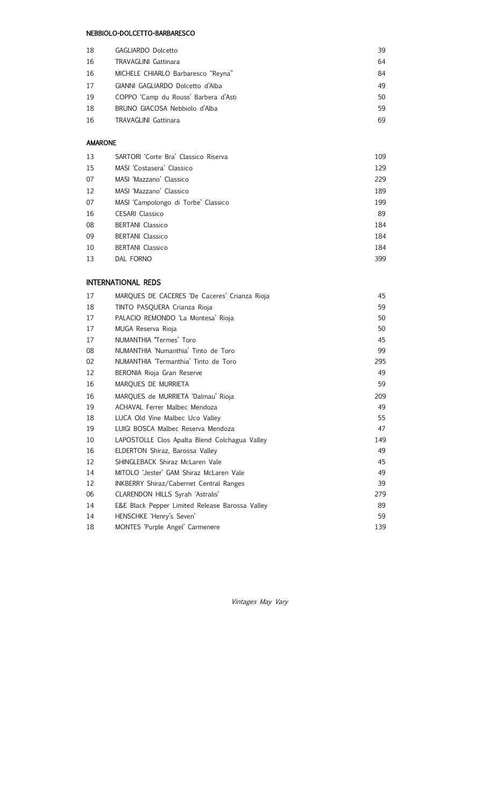#### NEBBIOLO-DOLCETTO-BARBARESCO

| 18 | GAGLIARDO Dolcetto                   | 39 |
|----|--------------------------------------|----|
| 16 | <b>TRAVAGLINI Gattinara</b>          | 64 |
| 16 | MICHELE CHIARLO Barbaresco "Reyna"   | 84 |
| 17 | GIANNI GAGLIARDO Dolcetto d'Alba     | 49 |
| 19 | COPPO 'Camp du Rouss' Barbera d'Asti | 50 |
| 18 | BRUNO GIACOSA Nebbiolo d'Alba        | 59 |
| 16 | <b>TRAVAGLINI Gattinara</b>          | 69 |

### AMARONE

| 13 | SARTORI 'Corte Bra' Classico Riserva | 109 |
|----|--------------------------------------|-----|
| 15 | MASI 'Costasera' Classico            | 129 |
| 07 | MASL 'Mazzano' Classico              | 229 |
| 12 | MASI 'Mazzano' Classico              | 189 |
| 07 | MASI 'Campolongo di Torbe' Classico  | 199 |
| 16 | <b>CESARI</b> Classico               | 89  |
| 08 | <b>BERTANI</b> Classico              | 184 |
| 09 | <b>BERTANI</b> Classico              | 184 |
| 10 | <b>BERTANI</b> Classico              | 184 |
| 13 | DAL FORNO                            | 399 |

### INTERNATIONAL REDS

| 17 | MARQUES DE CACERES 'De Caceres' Crianza Rioja   | 45  |
|----|-------------------------------------------------|-----|
| 18 | TINTO PASQUERA Crianza Rioja                    | 59  |
| 17 | PALACIO REMONDO 'La Montesa' Rioja              | 50  |
| 17 | MUGA Reserva Rioja                              | 50  |
| 17 | NUMANTHIA 'Termes' Toro                         | 45  |
| 08 | NUMANTHIA 'Numanthia' Tinto de Toro             | 99  |
| 02 | NUMANTHIA 'Termanthia' Tinto de Toro            | 295 |
| 12 | BERONIA Rioja Gran Reserve                      | 49  |
| 16 | MARQUES DE MURRIETA                             | 59  |
| 16 | MARQUES de MURRIETA 'Dalmau' Rioja              | 209 |
| 19 | ACHAVAL Ferrer Malbec Mendoza                   | 49  |
| 18 | LUCA Old Vine Malbec Uco Valley                 | 55  |
| 19 | LUIGI BOSCA Malbec Reserva Mendoza              | 47  |
| 10 | LAPOSTOLLE Clos Apalta Blend Colchagua Valley   | 149 |
| 16 | ELDERTON Shiraz, Barossa Valley                 | 49  |
| 12 | SHINGLEBACK Shiraz McLaren Vale                 | 45  |
| 14 | MITOLO 'Jester' GAM Shiraz McLaren Vale         | 49  |
| 12 | <b>INKBERRY Shiraz/Cabernet Central Ranges</b>  | 39  |
| 06 | CLARENDON HILLS Syrah 'Astralis'                | 279 |
| 14 | E&E Black Pepper Limited Release Barossa Valley | 89  |
| 14 | HENSCHKE 'Henry's Seven'                        | 59  |
| 18 | MONTES 'Purple Angel' Carmenere                 | 139 |

Vintages May Vary